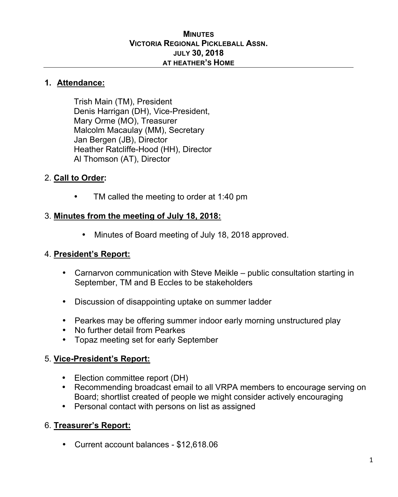#### **MINUTES VICTORIA REGIONAL PICKLEBALL ASSN. JULY 30, 2018 AT HEATHER'S HOME**

#### **1. Attendance:**

Trish Main (TM), President Denis Harrigan (DH), Vice-President, Mary Orme (MO), Treasurer Malcolm Macaulay (MM), Secretary Jan Bergen (JB), Director Heather Ratcliffe-Hood (HH), Director Al Thomson (AT), Director

### 2. **Call to Order:**

TM called the meeting to order at 1:40 pm

#### 3. **Minutes from the meeting of July 18, 2018:**

• Minutes of Board meeting of July 18, 2018 approved.

### 4. **President's Report:**

- Carnarvon communication with Steve Meikle public consultation starting in September, TM and B Eccles to be stakeholders
- Discussion of disappointing uptake on summer ladder
- Pearkes may be offering summer indoor early morning unstructured play
- No further detail from Pearkes
- Topaz meeting set for early September

### 5. **Vice-President's Report:**

- Election committee report (DH)
- Recommending broadcast email to all VRPA members to encourage serving on Board; shortlist created of people we might consider actively encouraging
- Personal contact with persons on list as assigned

### 6. **Treasurer's Report:**

• Current account balances - \$12,618.06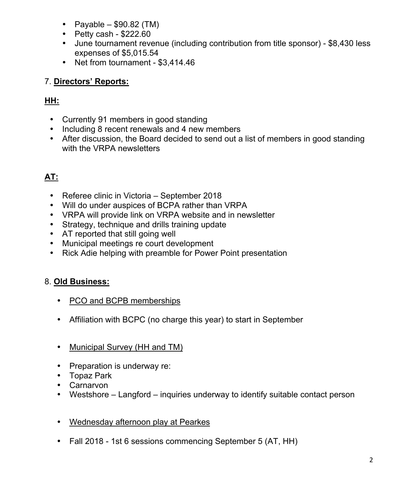- Payable  $$90.82$  (TM)
- Petty cash \$222.60
- June tournament revenue (including contribution from title sponsor) \$8,430 less expenses of \$5,015.54
- Net from tournament \$3,414.46

# 7. **Directors' Reports:**

# **HH:**

- Currently 91 members in good standing
- Including 8 recent renewals and 4 new members
- After discussion, the Board decided to send out a list of members in good standing with the VRPA newsletters

# **AT:**

- Referee clinic in Victoria September 2018
- Will do under auspices of BCPA rather than VRPA
- VRPA will provide link on VRPA website and in newsletter
- Strategy, technique and drills training update
- AT reported that still going well
- Municipal meetings re court development
- Rick Adie helping with preamble for Power Point presentation

# 8. **Old Business:**

- PCO and BCPB memberships
- Affiliation with BCPC (no charge this year) to start in September
- Municipal Survey (HH and TM)
- Preparation is underway re:
- Topaz Park
- Carnarvon
- Westshore Langford inquiries underway to identify suitable contact person
- Wednesday afternoon play at Pearkes
- Fall 2018 1st 6 sessions commencing September 5 (AT, HH)